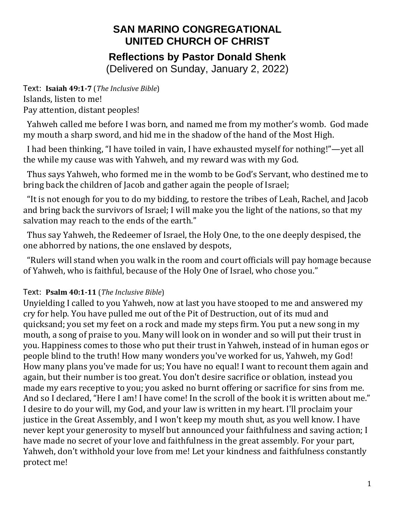# **SAN MARINO CONGREGATIONAL UNITED CHURCH OF CHRIST Reflections by Pastor Donald Shenk**

(Delivered on Sunday, January 2, 2022)

Text: **Isaiah 49:1-7** (*The Inclusive Bible*) Islands, listen to me! Pay attention, distant peoples!

 Yahweh called me before I was born, and named me from my mother's womb. God made my mouth a sharp sword, and hid me in the shadow of the hand of the Most High.

 I had been thinking, "I have toiled in vain, I have exhausted myself for nothing!"—yet all the while my cause was with Yahweh, and my reward was with my God.

 Thus says Yahweh, who formed me in the womb to be God's Servant, who destined me to bring back the children of Jacob and gather again the people of Israel;

 "It is not enough for you to do my bidding, to restore the tribes of Leah, Rachel, and Jacob and bring back the survivors of Israel; I will make you the light of the nations, so that my salvation may reach to the ends of the earth."

 Thus say Yahweh, the Redeemer of Israel, the Holy One, to the one deeply despised, the one abhorred by nations, the one enslaved by despots,

 "Rulers will stand when you walk in the room and court officials will pay homage because of Yahweh, who is faithful, because of the Holy One of Israel, who chose you."

### Text: **Psalm 40:1-11** (*The Inclusive Bible*)

Unyielding I called to you Yahweh, now at last you have stooped to me and answered my cry for help. You have pulled me out of the Pit of Destruction, out of its mud and quicksand; you set my feet on a rock and made my steps firm. You put a new song in my mouth, a song of praise to you. Many will look on in wonder and so will put their trust in you. Happiness comes to those who put their trust in Yahweh, instead of in human egos or people blind to the truth! How many wonders you've worked for us, Yahweh, my God! How many plans you've made for us; You have no equal! I want to recount them again and again, but their number is too great. You don't desire sacrifice or oblation, instead you made my ears receptive to you; you asked no burnt offering or sacrifice for sins from me. And so I declared, "Here I am! I have come! In the scroll of the book it is written about me." I desire to do your will, my God, and your law is written in my heart. I'll proclaim your justice in the Great Assembly, and I won't keep my mouth shut, as you well know. I have never kept your generosity to myself but announced your faithfulness and saving action; I have made no secret of your love and faithfulness in the great assembly. For your part, Yahweh, don't withhold your love from me! Let your kindness and faithfulness constantly protect me!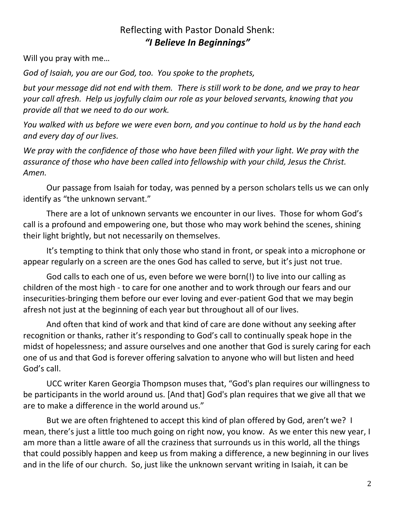## Reflecting with Pastor Donald Shenk: *"I Believe In Beginnings"*

Will you pray with me…

*God of Isaiah, you are our God, too. You spoke to the prophets,*

*but your message did not end with them. There is still work to be done, and we pray to hear your call afresh. Help us joyfully claim our role as your beloved servants, knowing that you provide all that we need to do our work.*

*You walked with us before we were even born, and you continue to hold us by the hand each and every day of our lives.*

*We pray with the confidence of those who have been filled with your light. We pray with the assurance of those who have been called into fellowship with your child, Jesus the Christ. Amen.*

Our passage from Isaiah for today, was penned by a person scholars tells us we can only identify as "the unknown servant."

There are a lot of unknown servants we encounter in our lives. Those for whom God's call is a profound and empowering one, but those who may work behind the scenes, shining their light brightly, but not necessarily on themselves.

It's tempting to think that only those who stand in front, or speak into a microphone or appear regularly on a screen are the ones God has called to serve, but it's just not true.

God calls to each one of us, even before we were born(!) to live into our calling as children of the most high - to care for one another and to work through our fears and our insecurities-bringing them before our ever loving and ever-patient God that we may begin afresh not just at the beginning of each year but throughout all of our lives.

And often that kind of work and that kind of care are done without any seeking after recognition or thanks, rather it's responding to God's call to continually speak hope in the midst of hopelessness; and assure ourselves and one another that God is surely caring for each one of us and that God is forever offering salvation to anyone who will but listen and heed God's call.

UCC writer Karen Georgia Thompson muses that, "God's plan requires our willingness to be participants in the world around us. [And that] God's plan requires that we give all that we are to make a difference in the world around us."

But we are often frightened to accept this kind of plan offered by God, aren't we? I mean, there's just a little too much going on right now, you know. As we enter this new year, I am more than a little aware of all the craziness that surrounds us in this world, all the things that could possibly happen and keep us from making a difference, a new beginning in our lives and in the life of our church. So, just like the unknown servant writing in Isaiah, it can be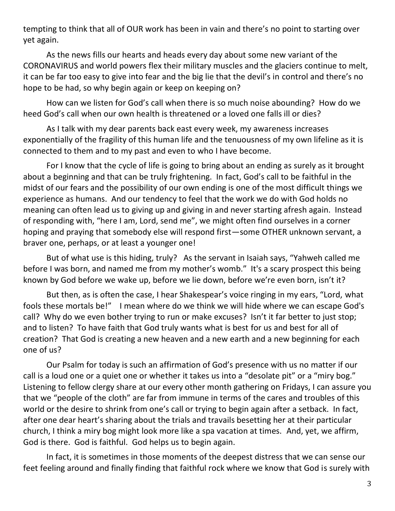tempting to think that all of OUR work has been in vain and there's no point to starting over yet again.

As the news fills our hearts and heads every day about some new variant of the CORONAVIRUS and world powers flex their military muscles and the glaciers continue to melt, it can be far too easy to give into fear and the big lie that the devil's in control and there's no hope to be had, so why begin again or keep on keeping on?

How can we listen for God's call when there is so much noise abounding? How do we heed God's call when our own health is threatened or a loved one falls ill or dies?

As I talk with my dear parents back east every week, my awareness increases exponentially of the fragility of this human life and the tenuousness of my own lifeline as it is connected to them and to my past and even to who I have become.

For I know that the cycle of life is going to bring about an ending as surely as it brought about a beginning and that can be truly frightening. In fact, God's call to be faithful in the midst of our fears and the possibility of our own ending is one of the most difficult things we experience as humans. And our tendency to feel that the work we do with God holds no meaning can often lead us to giving up and giving in and never starting afresh again. Instead of responding with, "here I am, Lord, send me", we might often find ourselves in a corner hoping and praying that somebody else will respond first—some OTHER unknown servant, a braver one, perhaps, or at least a younger one!

But of what use is this hiding, truly? As the servant in Isaiah says, "Yahweh called me before I was born, and named me from my mother's womb." It's a scary prospect this being known by God before we wake up, before we lie down, before we're even born, isn't it?

But then, as is often the case, I hear Shakespear's voice ringing in my ears, "Lord, what fools these mortals be!" I mean where do we think we will hide where we can escape God's call? Why do we even bother trying to run or make excuses? Isn't it far better to just stop; and to listen? To have faith that God truly wants what is best for us and best for all of creation? That God is creating a new heaven and a new earth and a new beginning for each one of us?

Our Psalm for today is such an affirmation of God's presence with us no matter if our call is a loud one or a quiet one or whether it takes us into a "desolate pit" or a "miry bog." Listening to fellow clergy share at our every other month gathering on Fridays, I can assure you that we "people of the cloth" are far from immune in terms of the cares and troubles of this world or the desire to shrink from one's call or trying to begin again after a setback. In fact, after one dear heart's sharing about the trials and travails besetting her at their particular church, I think a miry bog might look more like a spa vacation at times. And, yet, we affirm, God is there. God is faithful. God helps us to begin again.

In fact, it is sometimes in those moments of the deepest distress that we can sense our feet feeling around and finally finding that faithful rock where we know that God is surely with